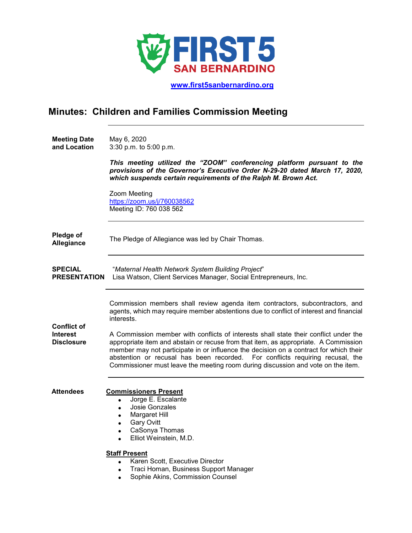

 **[www.first5sanbernardino.org](http://www.first5sanbernardino.org/)**

## **Minutes: Children and Families Commission Meeting**

| <b>Meeting Date</b> | May 6, 2020            |
|---------------------|------------------------|
| and Location        | 3:30 p.m. to 5:00 p.m. |

*This meeting utilized the "ZOOM" conferencing platform pursuant to the provisions of the Governor's Executive Order N-29-20 dated March 17, 2020, which suspends certain requirements of the Ralph M. Brown Act.*

Zoom Meeting <https://zoom.us/j/760038562> Meeting ID: 760 038 562

| Pledge of  |                                                   |
|------------|---------------------------------------------------|
| Allegiance | The Pledge of Allegiance was led by Chair Thomas. |

**SPECIAL PRESENTATION** Lisa Watson, Client Services Manager, Social Entrepreneurs, Inc. "*Maternal Health Network System Building Project*"

> Commission members shall review agenda item contractors, subcontractors, and agents, which may require member abstentions due to conflict of interest and financial interests.

**Interest Disclosure** A Commission member with conflicts of interests shall state their conflict under the appropriate item and abstain or recuse from that item, as appropriate. A Commission member may not participate in or influence the decision on a contract for which their abstention or recusal has been recorded. For conflicts requiring recusal, the Commissioner must leave the meeting room during discussion and vote on the item.

**Attendees Commissioners Present**

**Conflict of** 

- Jorge E. Escalante
- Josie Gonzales
- Margaret Hill
- Gary Ovitt
- CaSonya Thomas
- Elliot Weinstein, M.D.

## **Staff Present**

- Karen Scott, Executive Director
- Traci Homan, Business Support Manager
- Sophie Akins, Commission Counsel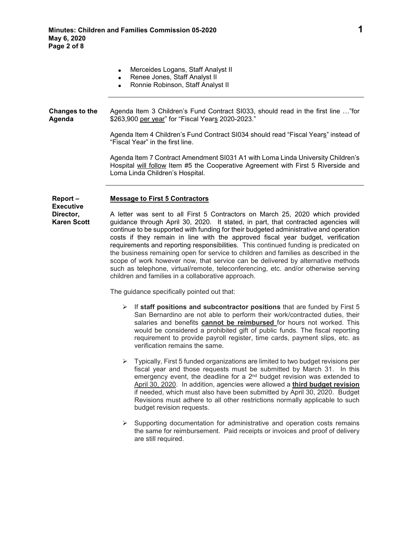- Merceides Logans, Staff Analyst II
- Renee Jones, Staff Analyst II
- Ronnie Robinson, Staff Analyst II
- **Changes to the Agenda** Agenda Item 3 Children's Fund Contract SI033, should read in the first line …"for \$263,900 per year" for "Fiscal Years 2020-2023."

Agenda Item 4 Children's Fund Contract SI034 should read "Fiscal Years" instead of "Fiscal Year" in the first line.

Agenda Item 7 Contract Amendment SI031 A1 with Loma Linda University Children's Hospital will follow Item #5 the Cooperative Agreement with First 5 Riverside and Loma Linda Children's Hospital.

## **Report – Message to First 5 Contractors**

**Executive Director, Karen Scott**

A letter was sent to all First 5 Contractors on March 25, 2020 which provided guidance through April 30, 2020. It stated, in part, that contracted agencies will continue to be supported with funding for their budgeted administrative and operation costs if they remain in line with the approved fiscal year budget, verification requirements and reporting responsibilities. This continued funding is predicated on the business remaining open for service to children and families as described in the scope of work however now, that service can be delivered by alternative methods such as telephone, virtual/remote, teleconferencing, etc. and/or otherwise serving children and families in a collaborative approach.

The guidance specifically pointed out that:

- If **staff positions and subcontractor positions** that are funded by First 5 San Bernardino are not able to perform their work/contracted duties, their salaries and benefits **cannot be reimbursed** for hours not worked. This would be considered a prohibited gift of public funds. The fiscal reporting requirement to provide payroll register, time cards, payment slips, etc. as verification remains the same.
- $\triangleright$  Typically, First 5 funded organizations are limited to two budget revisions per fiscal year and those requests must be submitted by March 31. In this emergency event, the deadline for a 2<sup>nd</sup> budget revision was extended to April 30, 2020. In addition, agencies were allowed a **third budget revision** if needed, which must also have been submitted by April 30, 2020. Budget Revisions must adhere to all other restrictions normally applicable to such budget revision requests.
- $\triangleright$  Supporting documentation for administrative and operation costs remains the same for reimbursement. Paid receipts or invoices and proof of delivery are still required.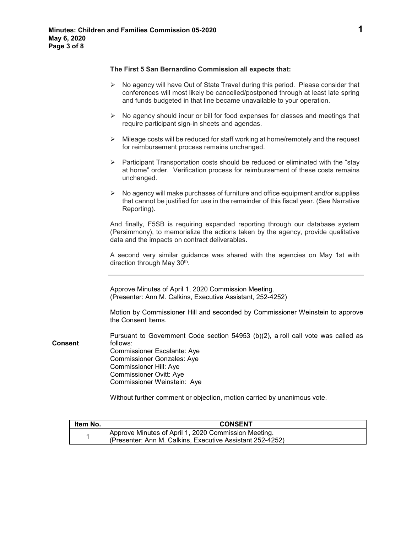## **The First 5 San Bernardino Commission all expects that:**

|                | $\triangleright$ No agency will have Out of State Travel during this period. Please consider that<br>conferences will most likely be cancelled/postponed through at least late spring<br>and funds budgeted in that line became unavailable to your operation. |
|----------------|----------------------------------------------------------------------------------------------------------------------------------------------------------------------------------------------------------------------------------------------------------------|
|                | $\triangleright$ No agency should incur or bill for food expenses for classes and meetings that<br>require participant sign-in sheets and agendas.                                                                                                             |
|                | Mileage costs will be reduced for staff working at home/remotely and the request<br>≻<br>for reimbursement process remains unchanged.                                                                                                                          |
|                | > Participant Transportation costs should be reduced or eliminated with the "stay"<br>at home" order. Verification process for reimbursement of these costs remains<br>unchanged.                                                                              |
|                | $\triangleright$ No agency will make purchases of furniture and office equipment and/or supplies<br>that cannot be justified for use in the remainder of this fiscal year. (See Narrative<br>Reporting).                                                       |
|                | And finally, F5SB is requiring expanded reporting through our database system<br>(Persimmony), to memorialize the actions taken by the agency, provide qualitative<br>data and the impacts on contract deliverables.                                           |
|                | A second very similar guidance was shared with the agencies on May 1st with<br>direction through May 30th.                                                                                                                                                     |
|                | Approve Minutes of April 1, 2020 Commission Meeting.<br>(Presenter: Ann M. Calkins, Executive Assistant, 252-4252)                                                                                                                                             |
|                | Motion by Commissioner Hill and seconded by Commissioner Weinstein to approve<br>the Consent Items.                                                                                                                                                            |
| <b>Consent</b> | Pursuant to Government Code section 54953 (b)(2), a roll call vote was called as<br>follows:<br>Commissioner Escalante: Aye<br><b>Commissioner Gonzales: Aye</b><br>Commissioner Hill: Aye<br><b>Commissioner Ovitt: Aye</b><br>Commissioner Weinstein: Aye    |
|                | Without further comment or objection, motion carried by unanimous vote.                                                                                                                                                                                        |

| ltem No. | <b>CONSENT</b>                                                                                                    |
|----------|-------------------------------------------------------------------------------------------------------------------|
|          | Approve Minutes of April 1, 2020 Commission Meeting.<br>(Presenter: Ann M. Calkins, Executive Assistant 252-4252) |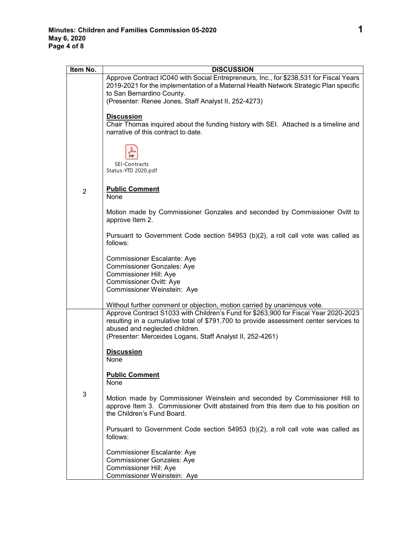| Item No.       | <b>DISCUSSION</b>                                                                                                                                                                                                                                                                                                                                      |
|----------------|--------------------------------------------------------------------------------------------------------------------------------------------------------------------------------------------------------------------------------------------------------------------------------------------------------------------------------------------------------|
|                | Approve Contract IC040 with Social Entrepreneurs, Inc., for \$238,531 for Fiscal Years<br>2019-2021 for the implementation of a Maternal Health Network Strategic Plan specific<br>to San Bernardino County.<br>(Presenter: Renee Jones, Staff Analyst II, 252-4273)                                                                                   |
|                | <b>Discussion</b><br>Chair Thomas inquired about the funding history with SEI. Attached is a timeline and<br>narrative of this contract to date.                                                                                                                                                                                                       |
|                | <b>SEI-Contracts</b><br>Status-YTD 2020.pdf                                                                                                                                                                                                                                                                                                            |
| $\overline{2}$ | <b>Public Comment</b><br>None                                                                                                                                                                                                                                                                                                                          |
|                | Motion made by Commissioner Gonzales and seconded by Commissioner Ovitt to<br>approve Item 2.                                                                                                                                                                                                                                                          |
|                | Pursuant to Government Code section 54953 (b)(2), a roll call vote was called as<br>follows:                                                                                                                                                                                                                                                           |
|                | Commissioner Escalante: Aye<br><b>Commissioner Gonzales: Aye</b><br>Commissioner Hill: Aye<br><b>Commissioner Ovitt: Aye</b><br>Commissioner Weinstein: Aye                                                                                                                                                                                            |
|                |                                                                                                                                                                                                                                                                                                                                                        |
|                | Without further comment or objection, motion carried by unanimous vote.<br>Approve Contract S1033 with Children's Fund for \$263,900 for Fiscal Year 2020-2023<br>resulting in a cumulative total of \$791,700 to provide assessment center services to<br>abused and neglected children.<br>(Presenter: Merceides Logans, Staff Analyst II, 252-4261) |
|                | <b>Discussion</b><br>None                                                                                                                                                                                                                                                                                                                              |
|                | <b>Public Comment</b><br>None                                                                                                                                                                                                                                                                                                                          |
| 3              | Motion made by Commissioner Weinstein and seconded by Commissioner Hill to<br>approve Item 3. Commissioner Ovitt abstained from this item due to his position on<br>the Children's Fund Board.                                                                                                                                                         |
|                | Pursuant to Government Code section $54953$ (b)(2), a roll call vote was called as<br>follows:                                                                                                                                                                                                                                                         |
|                | Commissioner Escalante: Aye<br><b>Commissioner Gonzales: Aye</b><br>Commissioner Hill: Aye<br>Commissioner Weinstein: Aye                                                                                                                                                                                                                              |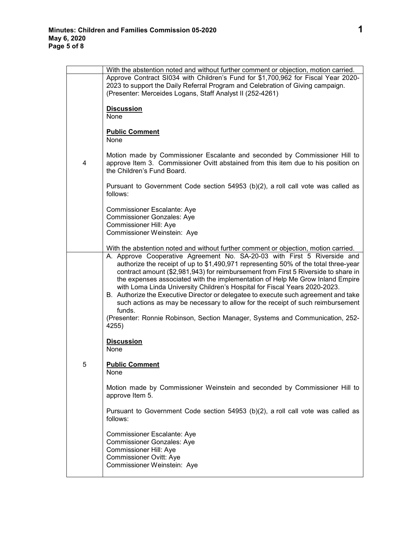|   | With the abstention noted and without further comment or objection, motion carried.                                                                                                                                                                                                                                                                                                                                                                                                                                                                                                                                                                                                                |
|---|----------------------------------------------------------------------------------------------------------------------------------------------------------------------------------------------------------------------------------------------------------------------------------------------------------------------------------------------------------------------------------------------------------------------------------------------------------------------------------------------------------------------------------------------------------------------------------------------------------------------------------------------------------------------------------------------------|
|   | Approve Contract SI034 with Children's Fund for \$1,700,962 for Fiscal Year 2020-<br>2023 to support the Daily Referral Program and Celebration of Giving campaign.<br>(Presenter: Merceides Logans, Staff Analyst II (252-4261)                                                                                                                                                                                                                                                                                                                                                                                                                                                                   |
|   | <b>Discussion</b><br>None                                                                                                                                                                                                                                                                                                                                                                                                                                                                                                                                                                                                                                                                          |
|   | <b>Public Comment</b><br>None                                                                                                                                                                                                                                                                                                                                                                                                                                                                                                                                                                                                                                                                      |
| 4 | Motion made by Commissioner Escalante and seconded by Commissioner Hill to<br>approve Item 3. Commissioner Ovitt abstained from this item due to his position on<br>the Children's Fund Board.                                                                                                                                                                                                                                                                                                                                                                                                                                                                                                     |
|   | Pursuant to Government Code section 54953 (b)(2), a roll call vote was called as<br>follows:                                                                                                                                                                                                                                                                                                                                                                                                                                                                                                                                                                                                       |
|   | Commissioner Escalante: Aye<br><b>Commissioner Gonzales: Aye</b><br>Commissioner Hill: Aye<br>Commissioner Weinstein: Aye                                                                                                                                                                                                                                                                                                                                                                                                                                                                                                                                                                          |
|   | With the abstention noted and without further comment or objection, motion carried.                                                                                                                                                                                                                                                                                                                                                                                                                                                                                                                                                                                                                |
|   | A. Approve Cooperative Agreement No. SA-20-03 with First 5 Riverside and<br>authorize the receipt of up to \$1,490,971 representing 50% of the total three-year<br>contract amount (\$2,981,943) for reimbursement from First 5 Riverside to share in<br>the expenses associated with the implementation of Help Me Grow Inland Empire<br>with Loma Linda University Children's Hospital for Fiscal Years 2020-2023.<br>B. Authorize the Executive Director or delegatee to execute such agreement and take<br>such actions as may be necessary to allow for the receipt of such reimbursement<br>funds.<br>(Presenter: Ronnie Robinson, Section Manager, Systems and Communication, 252-<br>4255) |
|   | <b>Discussion</b><br>None                                                                                                                                                                                                                                                                                                                                                                                                                                                                                                                                                                                                                                                                          |
| 5 | <b>Public Comment</b><br>None                                                                                                                                                                                                                                                                                                                                                                                                                                                                                                                                                                                                                                                                      |
|   | Motion made by Commissioner Weinstein and seconded by Commissioner Hill to<br>approve Item 5.                                                                                                                                                                                                                                                                                                                                                                                                                                                                                                                                                                                                      |
|   | Pursuant to Government Code section 54953 (b)(2), a roll call vote was called as<br>follows:                                                                                                                                                                                                                                                                                                                                                                                                                                                                                                                                                                                                       |
|   | Commissioner Escalante: Aye<br><b>Commissioner Gonzales: Aye</b><br><b>Commissioner Hill: Aye</b><br>Commissioner Ovitt: Aye<br>Commissioner Weinstein: Aye                                                                                                                                                                                                                                                                                                                                                                                                                                                                                                                                        |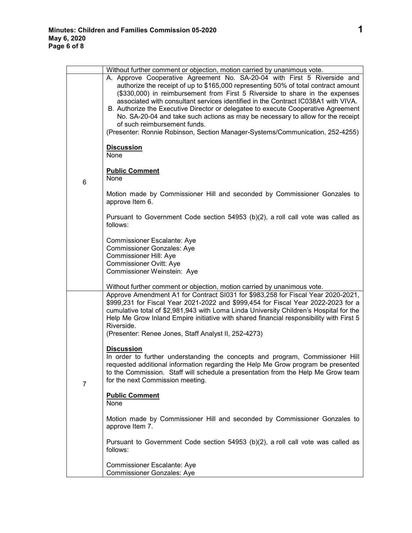|                | Without further comment or objection, motion carried by unanimous vote.                                                                                                                                                                                                                                                                                                                                                                                                                                                                                                                                                      |
|----------------|------------------------------------------------------------------------------------------------------------------------------------------------------------------------------------------------------------------------------------------------------------------------------------------------------------------------------------------------------------------------------------------------------------------------------------------------------------------------------------------------------------------------------------------------------------------------------------------------------------------------------|
|                | A. Approve Cooperative Agreement No. SA-20-04 with First 5 Riverside and<br>authorize the receipt of up to \$165,000 representing 50% of total contract amount<br>(\$330,000) in reimbursement from First 5 Riverside to share in the expenses<br>associated with consultant services identified in the Contract IC038A1 with VIVA.<br>B. Authorize the Executive Director or delegatee to execute Cooperative Agreement<br>No. SA-20-04 and take such actions as may be necessary to allow for the receipt<br>of such reimbursement funds.<br>(Presenter: Ronnie Robinson, Section Manager-Systems/Communication, 252-4255) |
|                | <b>Discussion</b><br>None                                                                                                                                                                                                                                                                                                                                                                                                                                                                                                                                                                                                    |
| 6              | <b>Public Comment</b><br>None                                                                                                                                                                                                                                                                                                                                                                                                                                                                                                                                                                                                |
|                | Motion made by Commissioner Hill and seconded by Commissioner Gonzales to<br>approve Item 6.                                                                                                                                                                                                                                                                                                                                                                                                                                                                                                                                 |
|                | Pursuant to Government Code section 54953 (b)(2), a roll call vote was called as<br>follows:                                                                                                                                                                                                                                                                                                                                                                                                                                                                                                                                 |
|                | <b>Commissioner Escalante: Aye</b><br><b>Commissioner Gonzales: Aye</b><br>Commissioner Hill: Aye<br><b>Commissioner Ovitt: Aye</b><br>Commissioner Weinstein: Aye                                                                                                                                                                                                                                                                                                                                                                                                                                                           |
|                | Without further comment or objection, motion carried by unanimous vote.                                                                                                                                                                                                                                                                                                                                                                                                                                                                                                                                                      |
| $\overline{7}$ | Approve Amendment A1 for Contract SI031 for \$983,258 for Fiscal Year 2020-2021,<br>\$999,231 for Fiscal Year 2021-2022 and \$999,454 for Fiscal Year 2022-2023 for a<br>cumulative total of \$2,981,943 with Loma Linda University Children's Hospital for the<br>Help Me Grow Inland Empire initiative with shared financial responsibility with First 5<br>Riverside.<br>(Presenter: Renee Jones, Staff Analyst II, 252-4273)                                                                                                                                                                                             |
|                | <b>Discussion</b><br>In order to further understanding the concepts and program, Commissioner Hill<br>requested additional information regarding the Help Me Grow program be presented<br>to the Commission. Staff will schedule a presentation from the Help Me Grow team<br>for the next Commission meeting.                                                                                                                                                                                                                                                                                                               |
|                | <b>Public Comment</b><br>None                                                                                                                                                                                                                                                                                                                                                                                                                                                                                                                                                                                                |
|                | Motion made by Commissioner Hill and seconded by Commissioner Gonzales to<br>approve Item 7.                                                                                                                                                                                                                                                                                                                                                                                                                                                                                                                                 |
|                | Pursuant to Government Code section 54953 (b)(2), a roll call vote was called as<br>follows:                                                                                                                                                                                                                                                                                                                                                                                                                                                                                                                                 |
|                | Commissioner Escalante: Aye<br><b>Commissioner Gonzales: Aye</b>                                                                                                                                                                                                                                                                                                                                                                                                                                                                                                                                                             |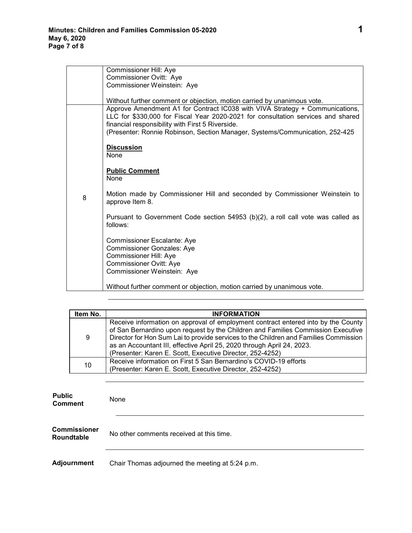|   | Commissioner Hill: Aye                                                                                                                                                                                                                                                                               |
|---|------------------------------------------------------------------------------------------------------------------------------------------------------------------------------------------------------------------------------------------------------------------------------------------------------|
|   | Commissioner Ovitt: Aye                                                                                                                                                                                                                                                                              |
|   | Commissioner Weinstein: Aye                                                                                                                                                                                                                                                                          |
|   |                                                                                                                                                                                                                                                                                                      |
|   | Without further comment or objection, motion carried by unanimous vote.                                                                                                                                                                                                                              |
|   | Approve Amendment A1 for Contract IC038 with VIVA Strategy + Communications,<br>LLC for \$330,000 for Fiscal Year 2020-2021 for consultation services and shared<br>financial responsibility with First 5 Riverside.<br>(Presenter: Ronnie Robinson, Section Manager, Systems/Communication, 252-425 |
|   |                                                                                                                                                                                                                                                                                                      |
|   | <b>Discussion</b><br>None                                                                                                                                                                                                                                                                            |
|   | <b>Public Comment</b><br>None                                                                                                                                                                                                                                                                        |
| 8 | Motion made by Commissioner Hill and seconded by Commissioner Weinstein to<br>approve Item 8.                                                                                                                                                                                                        |
|   | Pursuant to Government Code section 54953 (b)(2), a roll call vote was called as<br>follows:                                                                                                                                                                                                         |
|   | Commissioner Escalante: Aye<br><b>Commissioner Gonzales: Aye</b><br>Commissioner Hill: Aye<br>Commissioner Ovitt: Aye<br>Commissioner Weinstein: Aye                                                                                                                                                 |
|   | Without further comment or objection, motion carried by unanimous vote.                                                                                                                                                                                                                              |

| Item No. | <b>INFORMATION</b>                                                                                                                                                                                                                                                                                                                                                                                   |
|----------|------------------------------------------------------------------------------------------------------------------------------------------------------------------------------------------------------------------------------------------------------------------------------------------------------------------------------------------------------------------------------------------------------|
| 9        | Receive information on approval of employment contract entered into by the County<br>of San Bernardino upon request by the Children and Families Commission Executive<br>Director for Hon Sum Lai to provide services to the Children and Families Commission<br>as an Accountant III, effective April 25, 2020 through April 24, 2023.<br>(Presenter: Karen E. Scott, Executive Director, 252-4252) |
| 10       | Receive information on First 5 San Bernardino's COVID-19 efforts<br>(Presenter: Karen E. Scott, Executive Director, 252-4252)                                                                                                                                                                                                                                                                        |

| <b>Public</b><br><b>Comment</b>          | None                                            |
|------------------------------------------|-------------------------------------------------|
| <b>Commissioner</b><br><b>Roundtable</b> | No other comments received at this time.        |
| Adjournment                              | Chair Thomas adjourned the meeting at 5:24 p.m. |